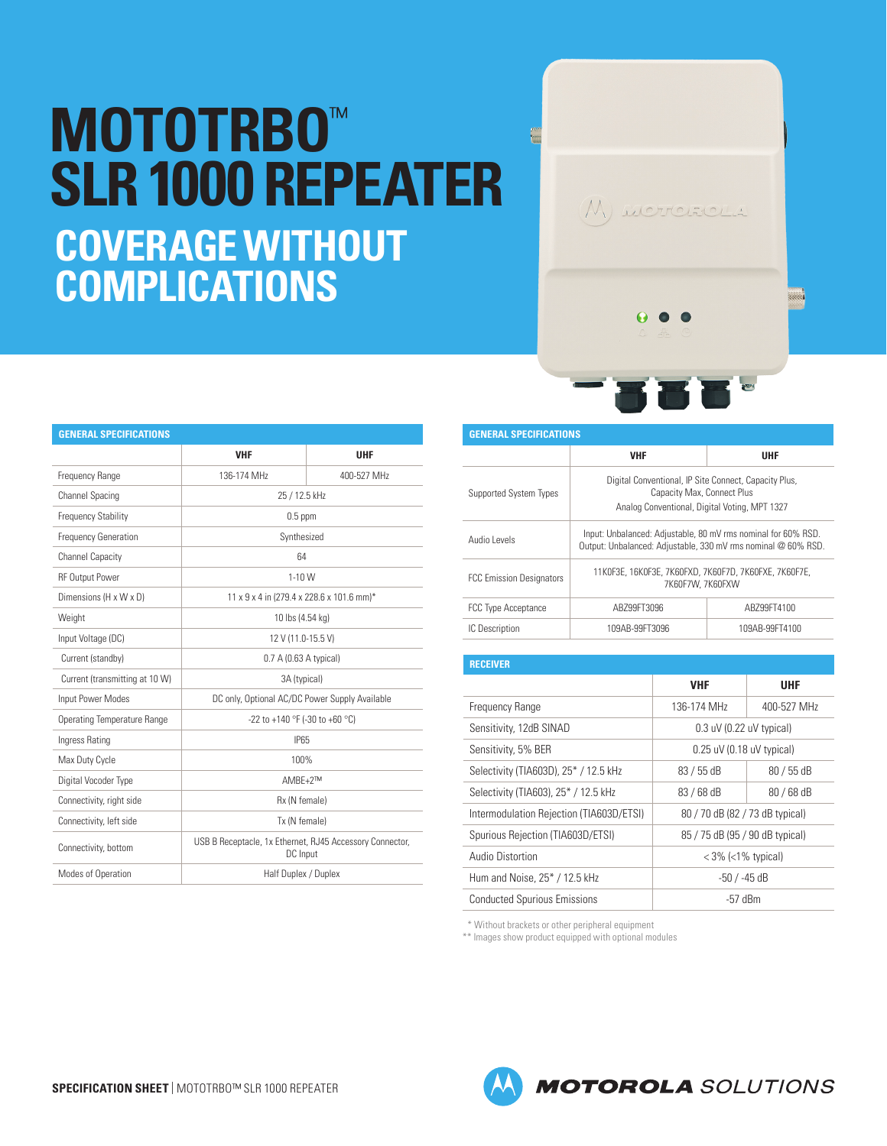## **MOTOTRBO**™ **SLR 1000 REPEATER COVERAGE WITHOUT COMPLICATIONS**

| <b>GENERAL SPECIFICATIONS</b>  |                                                                      |             |  |  |
|--------------------------------|----------------------------------------------------------------------|-------------|--|--|
|                                | <b>VHF</b>                                                           | <b>UHF</b>  |  |  |
| Frequency Range                | 136-174 MHz                                                          | 400-527 MHz |  |  |
| <b>Channel Spacing</b>         | 25 / 12.5 kHz                                                        |             |  |  |
| <b>Frequency Stability</b>     | $0.5$ ppm                                                            |             |  |  |
| <b>Frequency Generation</b>    | Synthesized                                                          |             |  |  |
| <b>Channel Capacity</b>        | 64                                                                   |             |  |  |
| RF Output Power                | $1-10$ W                                                             |             |  |  |
| Dimensions (H x W x D)         | 11 x 9 x 4 in (279.4 x 228.6 x 101.6 mm)*                            |             |  |  |
| Weight                         | 10 lbs (4.54 kg)                                                     |             |  |  |
| Input Voltage (DC)             | 12 V (11.0-15.5 V)                                                   |             |  |  |
| Current (standby)              | 0.7 A (0.63 A typical)                                               |             |  |  |
| Current (transmitting at 10 W) | 3A (typical)                                                         |             |  |  |
| Input Power Modes              | DC only, Optional AC/DC Power Supply Available                       |             |  |  |
| Operating Temperature Range    | -22 to +140 °F (-30 to +60 °C)                                       |             |  |  |
| Ingress Rating                 | <b>IP65</b>                                                          |             |  |  |
| Max Duty Cycle                 | 100%                                                                 |             |  |  |
| Digital Vocoder Type           | $AMBE + 2TM$                                                         |             |  |  |
| Connectivity, right side       | Rx (N female)                                                        |             |  |  |
| Connectivity, left side        | Tx (N female)                                                        |             |  |  |
| Connectivity, bottom           | USB B Receptacle, 1x Ethernet, RJ45 Accessory Connector,<br>DC Input |             |  |  |
| Modes of Operation             | Half Duplex / Duplex                                                 |             |  |  |

| <b>GENERAL SPECIFICATIONS</b>   |                                                                                                                                      |                |  |  |  |
|---------------------------------|--------------------------------------------------------------------------------------------------------------------------------------|----------------|--|--|--|
|                                 | <b>VHF</b>                                                                                                                           | <b>UHF</b>     |  |  |  |
| Supported System Types          | Digital Conventional, IP Site Connect, Capacity Plus,<br>Capacity Max, Connect Plus<br>Analog Conventional, Digital Voting, MPT 1327 |                |  |  |  |
| Audio Levels                    | Input: Unbalanced: Adjustable, 80 mV rms nominal for 60% RSD.<br>Output: Unbalanced: Adjustable, 330 mV rms nominal @ 60% RSD.       |                |  |  |  |
| <b>FCC Emission Designators</b> | 11KOF3E, 16KOF3E, 7K6OFXD, 7K6OF7D, 7K6OFXE, 7K6OF7E,<br>7K60F7W, 7K60FXW                                                            |                |  |  |  |
| <b>FCC Type Acceptance</b>      | ABZ99FT3096                                                                                                                          | ABZ99FT4100    |  |  |  |
| IC Description                  | 109AB-99FT3096                                                                                                                       | 109AB-99FT4100 |  |  |  |

M MOTOROLA

| <b>RECEIVER</b>                          |                                 |             |
|------------------------------------------|---------------------------------|-------------|
|                                          | <b>VHF</b>                      | <b>UHF</b>  |
| Frequency Range                          | 136-174 MHz                     | 400-527 MHz |
| Sensitivity, 12dB SINAD                  | $0.3$ uV (0.22 uV typical)      |             |
| Sensitivity, 5% BER                      | $0.25$ uV (0.18 uV typical)     |             |
| Selectivity (TIA603D), 25* / 12.5 kHz    | $83/55$ dB                      | $80/55$ dB  |
| Selectivity (TIA603), 25* / 12.5 kHz     | 83 / 68 dB                      | 80 / 68 dB  |
| Intermodulation Rejection (TIA603D/ETSI) | 80 / 70 dB (82 / 73 dB typical) |             |
| Spurious Rejection (TIA603D/ETSI)        | 85 / 75 dB (95 / 90 dB typical) |             |
| Audio Distortion                         | $<$ 3% ( $<$ 1% typical)        |             |
| Hum and Noise, 25* / 12.5 kHz            | -50 / -45 dB                    |             |
| <b>Conducted Spurious Emissions</b>      | $-57$ dBm                       |             |

\* Without brackets or other peripheral equipment

**Common** 

\*\* Images show product equipped with optional modules